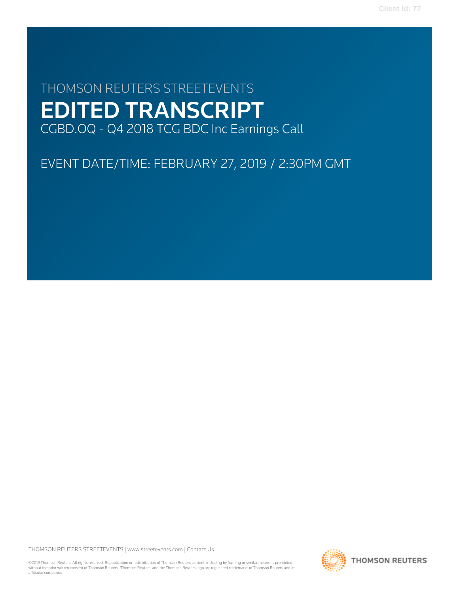# THOMSON REUTERS STREETEVENTS EDITED TRANSCRIPT CGBD.OQ - Q4 2018 TCG BDC Inc Earnings Call

EVENT DATE/TIME: FEBRUARY 27, 2019 / 2:30PM GMT

THOMSON REUTERS STREETEVENTS | www.streetevents.com | Contact Us

©2019 Thomson Reuters. All rights reserved. Republication or redistribution of Thomson Reuters content, including by framing or similar means, is prohibited without the prior written consent of Thomson Reuters. 'Thomson Reuters' and the Thomson Reuters logo are registered trademarks of Thomson Reuters and its affiliated companies.

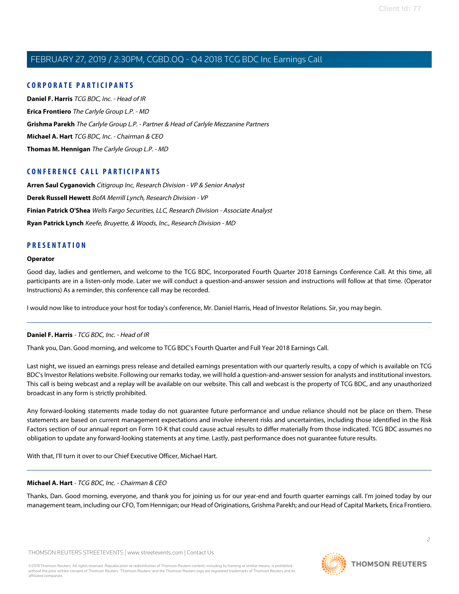## **CORPORATE PARTICIPANTS**

**Daniel F. Harris** TCG BDC, Inc. - Head of IR **Erica Frontiero** The Carlyle Group L.P. - MD **Grishma Parekh** The Carlyle Group L.P. - Partner & Head of Carlyle Mezzanine Partners **Michael A. Hart** TCG BDC, Inc. - Chairman & CEO **Thomas M. Hennigan** The Carlyle Group L.P. - MD

## **CONFERENCE CALL PARTICIPANTS**

**Arren Saul Cyganovich** Citigroup Inc, Research Division - VP & Senior Analyst **Derek Russell Hewett** BofA Merrill Lynch, Research Division - VP **Finian Patrick O'Shea** Wells Fargo Securities, LLC, Research Division - Associate Analyst **Ryan Patrick Lynch** Keefe, Bruyette, & Woods, Inc., Research Division - MD

## **PRESENTATION**

#### **Operator**

Good day, ladies and gentlemen, and welcome to the TCG BDC, Incorporated Fourth Quarter 2018 Earnings Conference Call. At this time, all participants are in a listen-only mode. Later we will conduct a question-and-answer session and instructions will follow at that time. (Operator Instructions) As a reminder, this conference call may be recorded.

I would now like to introduce your host for today's conference, Mr. Daniel Harris, Head of Investor Relations. Sir, you may begin.

#### **Daniel F. Harris** - TCG BDC, Inc. - Head of IR

Thank you, Dan. Good morning, and welcome to TCG BDC's Fourth Quarter and Full Year 2018 Earnings Call.

Last night, we issued an earnings press release and detailed earnings presentation with our quarterly results, a copy of which is available on TCG BDC's Investor Relations website. Following our remarks today, we will hold a question-and-answer session for analysts and institutional investors. This call is being webcast and a replay will be available on our website. This call and webcast is the property of TCG BDC, and any unauthorized broadcast in any form is strictly prohibited.

Any forward-looking statements made today do not guarantee future performance and undue reliance should not be place on them. These statements are based on current management expectations and involve inherent risks and uncertainties, including those identified in the Risk Factors section of our annual report on Form 10-K that could cause actual results to differ materially from those indicated. TCG BDC assumes no obligation to update any forward-looking statements at any time. Lastly, past performance does not guarantee future results.

With that, I'll turn it over to our Chief Executive Officer, Michael Hart.

#### **Michael A. Hart** - TCG BDC, Inc. - Chairman & CEO

Thanks, Dan. Good morning, everyone, and thank you for joining us for our year-end and fourth quarter earnings call. I'm joined today by our management team, including our CFO, Tom Hennigan; our Head of Originations, Grishma Parekh; and our Head of Capital Markets, Erica Frontiero.

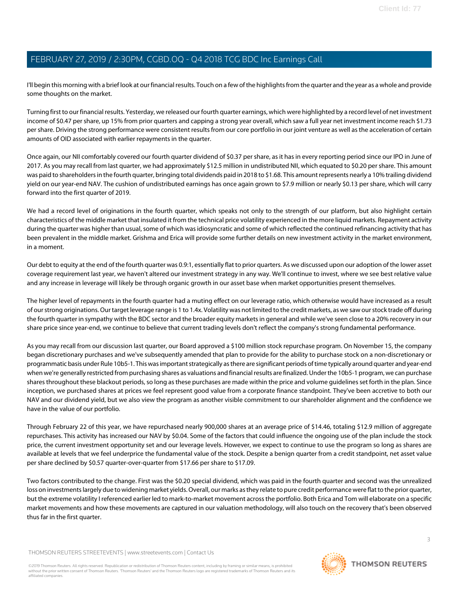I'll begin this morning with a brief look at our financial results. Touch on a few of the highlights from the quarter and the year as a whole and provide some thoughts on the market.

Turning first to our financial results. Yesterday, we released our fourth quarter earnings, which were highlighted by a record level of net investment income of \$0.47 per share, up 15% from prior quarters and capping a strong year overall, which saw a full year net investment income reach \$1.73 per share. Driving the strong performance were consistent results from our core portfolio in our joint venture as well as the acceleration of certain amounts of OID associated with earlier repayments in the quarter.

Once again, our NII comfortably covered our fourth quarter dividend of \$0.37 per share, as it has in every reporting period since our IPO in June of 2017. As you may recall from last quarter, we had approximately \$12.5 million in undistributed NII, which equated to \$0.20 per share. This amount was paid to shareholders in the fourth quarter, bringing total dividends paid in 2018 to \$1.68. This amount represents nearly a 10% trailing dividend yield on our year-end NAV. The cushion of undistributed earnings has once again grown to \$7.9 million or nearly \$0.13 per share, which will carry forward into the first quarter of 2019.

We had a record level of originations in the fourth quarter, which speaks not only to the strength of our platform, but also highlight certain characteristics of the middle market that insulated it from the technical price volatility experienced in the more liquid markets. Repayment activity during the quarter was higher than usual, some of which was idiosyncratic and some of which reflected the continued refinancing activity that has been prevalent in the middle market. Grishma and Erica will provide some further details on new investment activity in the market environment, in a moment.

Our debt to equity at the end of the fourth quarter was 0.9:1, essentially flat to prior quarters. As we discussed upon our adoption of the lower asset coverage requirement last year, we haven't altered our investment strategy in any way. We'll continue to invest, where we see best relative value and any increase in leverage will likely be through organic growth in our asset base when market opportunities present themselves.

The higher level of repayments in the fourth quarter had a muting effect on our leverage ratio, which otherwise would have increased as a result of our strong originations. Our target leverage range is 1 to 1.4x. Volatility was not limited to the credit markets, as we saw our stock trade off during the fourth quarter in sympathy with the BDC sector and the broader equity markets in general and while we've seen close to a 20% recovery in our share price since year-end, we continue to believe that current trading levels don't reflect the company's strong fundamental performance.

As you may recall from our discussion last quarter, our Board approved a \$100 million stock repurchase program. On November 15, the company began discretionary purchases and we've subsequently amended that plan to provide for the ability to purchase stock on a non-discretionary or programmatic basis under Rule 10b5-1. This was important strategically as there are significant periods of time typically around quarter and year-end when we're generally restricted from purchasing shares as valuations and financial results are finalized. Under the 10b5-1 program, we can purchase shares throughout these blackout periods, so long as these purchases are made within the price and volume guidelines set forth in the plan. Since inception, we purchased shares at prices we feel represent good value from a corporate finance standpoint. They've been accretive to both our NAV and our dividend yield, but we also view the program as another visible commitment to our shareholder alignment and the confidence we have in the value of our portfolio.

Through February 22 of this year, we have repurchased nearly 900,000 shares at an average price of \$14.46, totaling \$12.9 million of aggregate repurchases. This activity has increased our NAV by \$0.04. Some of the factors that could influence the ongoing use of the plan include the stock price, the current investment opportunity set and our leverage levels. However, we expect to continue to use the program so long as shares are available at levels that we feel underprice the fundamental value of the stock. Despite a benign quarter from a credit standpoint, net asset value per share declined by \$0.57 quarter-over-quarter from \$17.66 per share to \$17.09.

Two factors contributed to the change. First was the \$0.20 special dividend, which was paid in the fourth quarter and second was the unrealized loss on investments largely due to widening market yields. Overall, our marks as they relate to pure credit performance were flat to the prior quarter, but the extreme volatility I referenced earlier led to mark-to-market movement across the portfolio. Both Erica and Tom will elaborate on a specific market movements and how these movements are captured in our valuation methodology, will also touch on the recovery that's been observed thus far in the first quarter.

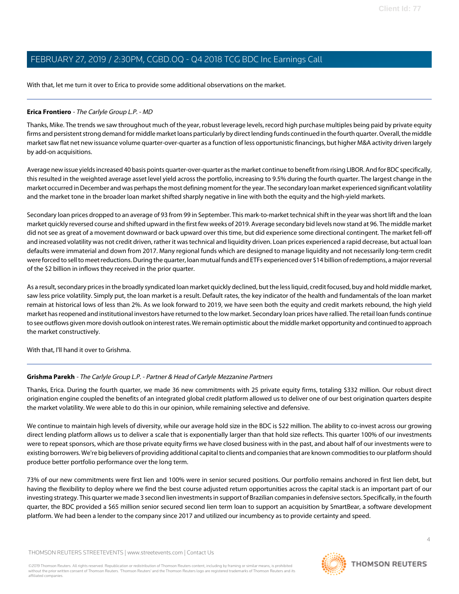With that, let me turn it over to Erica to provide some additional observations on the market.

#### **Erica Frontiero** - The Carlyle Group L.P. - MD

Thanks, Mike. The trends we saw throughout much of the year, robust leverage levels, record high purchase multiples being paid by private equity firms and persistent strong demand for middle market loans particularly by direct lending funds continued in the fourth quarter. Overall, the middle market saw flat net new issuance volume quarter-over-quarter as a function of less opportunistic financings, but higher M&A activity driven largely by add-on acquisitions.

Average new issue yields increased 40 basis points quarter-over-quarter as the market continue to benefit from rising LIBOR. And for BDC specifically, this resulted in the weighted average asset level yield across the portfolio, increasing to 9.5% during the fourth quarter. The largest change in the market occurred in December and was perhaps the most defining moment for the year. The secondary loan market experienced significant volatility and the market tone in the broader loan market shifted sharply negative in line with both the equity and the high-yield markets.

Secondary loan prices dropped to an average of 93 from 99 in September. This mark-to-market technical shift in the year was short lift and the loan market quickly reversed course and shifted upward in the first few weeks of 2019. Average secondary bid levels now stand at 96. The middle market did not see as great of a movement downward or back upward over this time, but did experience some directional contingent. The market fell-off and increased volatility was not credit driven, rather it was technical and liquidity driven. Loan prices experienced a rapid decrease, but actual loan defaults were immaterial and down from 2017. Many regional funds which are designed to manage liquidity and not necessarily long-term credit were forced to sell to meet reductions. During the quarter, loan mutual funds and ETFs experienced over \$14 billion of redemptions, a major reversal of the \$2 billion in inflows they received in the prior quarter.

As a result, secondary prices in the broadly syndicated loan market quickly declined, but the less liquid, credit focused, buy and hold middle market, saw less price volatility. Simply put, the loan market is a result. Default rates, the key indicator of the health and fundamentals of the loan market remain at historical lows of less than 2%. As we look forward to 2019, we have seen both the equity and credit markets rebound, the high yield market has reopened and institutional investors have returned to the low market. Secondary loan prices have rallied. The retail loan funds continue to see outflows given more dovish outlook on interest rates. We remain optimistic about the middle market opportunity and continued to approach the market constructively.

With that, I'll hand it over to Grishma.

#### **Grishma Parekh** - The Carlyle Group L.P. - Partner & Head of Carlyle Mezzanine Partners

Thanks, Erica. During the fourth quarter, we made 36 new commitments with 25 private equity firms, totaling \$332 million. Our robust direct origination engine coupled the benefits of an integrated global credit platform allowed us to deliver one of our best origination quarters despite the market volatility. We were able to do this in our opinion, while remaining selective and defensive.

We continue to maintain high levels of diversity, while our average hold size in the BDC is \$22 million. The ability to co-invest across our growing direct lending platform allows us to deliver a scale that is exponentially larger than that hold size reflects. This quarter 100% of our investments were to repeat sponsors, which are those private equity firms we have closed business with in the past, and about half of our investments were to existing borrowers. We're big believers of providing additional capital to clients and companies that are known commodities to our platform should produce better portfolio performance over the long term.

73% of our new commitments were first lien and 100% were in senior secured positions. Our portfolio remains anchored in first lien debt, but having the flexibility to deploy where we find the best course adjusted return opportunities across the capital stack is an important part of our investing strategy. This quarter we made 3 second lien investments in support of Brazilian companies in defensive sectors. Specifically, in the fourth quarter, the BDC provided a \$65 million senior secured second lien term loan to support an acquisition by SmartBear, a software development platform. We had been a lender to the company since 2017 and utilized our incumbency as to provide certainty and speed.

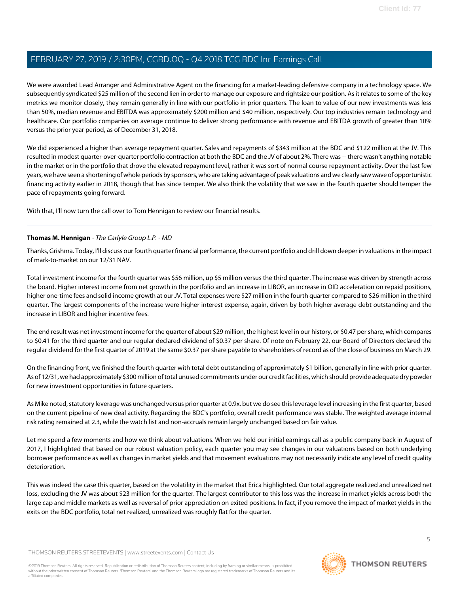We were awarded Lead Arranger and Administrative Agent on the financing for a market-leading defensive company in a technology space. We subsequently syndicated \$25 million of the second lien in order to manage our exposure and rightsize our position. As it relates to some of the key metrics we monitor closely, they remain generally in line with our portfolio in prior quarters. The loan to value of our new investments was less than 50%, median revenue and EBITDA was approximately \$200 million and \$40 million, respectively. Our top industries remain technology and healthcare. Our portfolio companies on average continue to deliver strong performance with revenue and EBITDA growth of greater than 10% versus the prior year period, as of December 31, 2018.

We did experienced a higher than average repayment quarter. Sales and repayments of \$343 million at the BDC and \$122 million at the JV. This resulted in modest quarter-over-quarter portfolio contraction at both the BDC and the JV of about 2%. There was -- there wasn't anything notable in the market or in the portfolio that drove the elevated repayment level, rather it was sort of normal course repayment activity. Over the last few years, we have seen a shortening of whole periods by sponsors, who are taking advantage of peak valuations and we clearly saw wave of opportunistic financing activity earlier in 2018, though that has since temper. We also think the volatility that we saw in the fourth quarter should temper the pace of repayments going forward.

With that, I'll now turn the call over to Tom Hennigan to review our financial results.

## **Thomas M. Hennigan** - The Carlyle Group L.P. - MD

Thanks, Grishma. Today, I'll discuss our fourth quarter financial performance, the current portfolio and drill down deeper in valuations in the impact of mark-to-market on our 12/31 NAV.

Total investment income for the fourth quarter was \$56 million, up \$5 million versus the third quarter. The increase was driven by strength across the board. Higher interest income from net growth in the portfolio and an increase in LIBOR, an increase in OID acceleration on repaid positions, higher one-time fees and solid income growth at our JV. Total expenses were \$27 million in the fourth quarter compared to \$26 million in the third quarter. The largest components of the increase were higher interest expense, again, driven by both higher average debt outstanding and the increase in LIBOR and higher incentive fees.

The end result was net investment income for the quarter of about \$29 million, the highest level in our history, or \$0.47 per share, which compares to \$0.41 for the third quarter and our regular declared dividend of \$0.37 per share. Of note on February 22, our Board of Directors declared the regular dividend for the first quarter of 2019 at the same \$0.37 per share payable to shareholders of record as of the close of business on March 29.

On the financing front, we finished the fourth quarter with total debt outstanding of approximately \$1 billion, generally in line with prior quarter. As of 12/31, we had approximately \$300 million of total unused commitments under our credit facilities, which should provide adequate dry powder for new investment opportunities in future quarters.

As Mike noted, statutory leverage was unchanged versus prior quarter at 0.9x, but we do see this leverage level increasing in the first quarter, based on the current pipeline of new deal activity. Regarding the BDC's portfolio, overall credit performance was stable. The weighted average internal risk rating remained at 2.3, while the watch list and non-accruals remain largely unchanged based on fair value.

Let me spend a few moments and how we think about valuations. When we held our initial earnings call as a public company back in August of 2017, I highlighted that based on our robust valuation policy, each quarter you may see changes in our valuations based on both underlying borrower performance as well as changes in market yields and that movement evaluations may not necessarily indicate any level of credit quality deterioration.

This was indeed the case this quarter, based on the volatility in the market that Erica highlighted. Our total aggregate realized and unrealized net loss, excluding the JV was about \$23 million for the quarter. The largest contributor to this loss was the increase in market yields across both the large cap and middle markets as well as reversal of prior appreciation on exited positions. In fact, if you remove the impact of market yields in the exits on the BDC portfolio, total net realized, unrealized was roughly flat for the quarter.

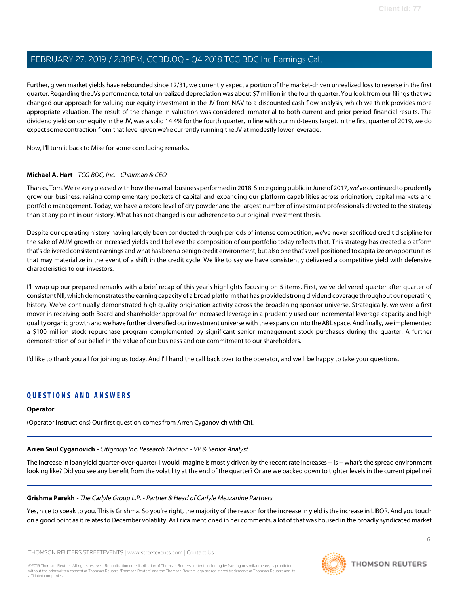Further, given market yields have rebounded since 12/31, we currently expect a portion of the market-driven unrealized loss to reverse in the first quarter. Regarding the JVs performance, total unrealized depreciation was about \$7 million in the fourth quarter. You look from our filings that we changed our approach for valuing our equity investment in the JV from NAV to a discounted cash flow analysis, which we think provides more appropriate valuation. The result of the change in valuation was considered immaterial to both current and prior period financial results. The dividend yield on our equity in the JV, was a solid 14.4% for the fourth quarter, in line with our mid-teens target. In the first quarter of 2019, we do expect some contraction from that level given we're currently running the JV at modestly lower leverage.

Now, I'll turn it back to Mike for some concluding remarks.

#### **Michael A. Hart** - TCG BDC, Inc. - Chairman & CEO

Thanks, Tom. We're very pleased with how the overall business performed in 2018. Since going public in June of 2017, we've continued to prudently grow our business, raising complementary pockets of capital and expanding our platform capabilities across origination, capital markets and portfolio management. Today, we have a record level of dry powder and the largest number of investment professionals devoted to the strategy than at any point in our history. What has not changed is our adherence to our original investment thesis.

Despite our operating history having largely been conducted through periods of intense competition, we've never sacrificed credit discipline for the sake of AUM growth or increased yields and I believe the composition of our portfolio today reflects that. This strategy has created a platform that's delivered consistent earnings and what has been a benign credit environment, but also one that's well positioned to capitalize on opportunities that may materialize in the event of a shift in the credit cycle. We like to say we have consistently delivered a competitive yield with defensive characteristics to our investors.

I'll wrap up our prepared remarks with a brief recap of this year's highlights focusing on 5 items. First, we've delivered quarter after quarter of consistent NII, which demonstrates the earning capacity of a broad platform that has provided strong dividend coverage throughout our operating history. We've continually demonstrated high quality origination activity across the broadening sponsor universe. Strategically, we were a first mover in receiving both Board and shareholder approval for increased leverage in a prudently used our incremental leverage capacity and high quality organic growth and we have further diversified our investment universe with the expansion into the ABL space. And finally, we implemented a \$100 million stock repurchase program complemented by significant senior management stock purchases during the quarter. A further demonstration of our belief in the value of our business and our commitment to our shareholders.

I'd like to thank you all for joining us today. And I'll hand the call back over to the operator, and we'll be happy to take your questions.

## **QUESTIONS AND ANSWERS**

#### **Operator**

(Operator Instructions) Our first question comes from Arren Cyganovich with Citi.

#### **Arren Saul Cyganovich** - Citigroup Inc, Research Division - VP & Senior Analyst

The increase in loan yield quarter-over-quarter, I would imagine is mostly driven by the recent rate increases -- is -- what's the spread environment looking like? Did you see any benefit from the volatility at the end of the quarter? Or are we backed down to tighter levels in the current pipeline?

#### **Grishma Parekh** - The Carlyle Group L.P. - Partner & Head of Carlyle Mezzanine Partners

Yes, nice to speak to you. This is Grishma. So you're right, the majority of the reason for the increase in yield is the increase in LIBOR. And you touch on a good point as it relates to December volatility. As Erica mentioned in her comments, a lot of that was housed in the broadly syndicated market

THOMSON REUTERS STREETEVENTS | www.streetevents.com | Contact Us

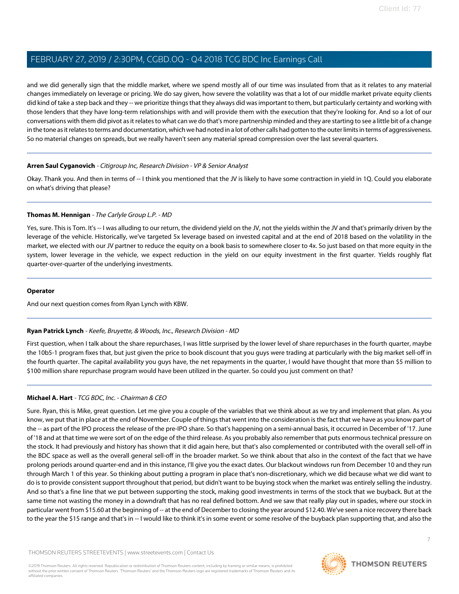and we did generally sign that the middle market, where we spend mostly all of our time was insulated from that as it relates to any material changes immediately on leverage or pricing. We do say given, how severe the volatility was that a lot of our middle market private equity clients did kind of take a step back and they -- we prioritize things that they always did was important to them, but particularly certainty and working with those lenders that they have long-term relationships with and will provide them with the execution that they're looking for. And so a lot of our conversations with them did pivot as it relates to what can we do that's more partnership minded and they are starting to see a little bit of a change in the tone as it relates to terms and documentation, which we had noted in a lot of other calls had gotten to the outer limits in terms of aggressiveness. So no material changes on spreads, but we really haven't seen any material spread compression over the last several quarters.

## **Arren Saul Cyganovich** - Citigroup Inc, Research Division - VP & Senior Analyst

Okay. Thank you. And then in terms of -- I think you mentioned that the JV is likely to have some contraction in yield in 1Q. Could you elaborate on what's driving that please?

## **Thomas M. Hennigan** - The Carlyle Group L.P. - MD

Yes, sure. This is Tom. It's -- I was alluding to our return, the dividend yield on the JV, not the yields within the JV and that's primarily driven by the leverage of the vehicle. Historically, we've targeted 5x leverage based on invested capital and at the end of 2018 based on the volatility in the market, we elected with our JV partner to reduce the equity on a book basis to somewhere closer to 4x. So just based on that more equity in the system, lower leverage in the vehicle, we expect reduction in the yield on our equity investment in the first quarter. Yields roughly flat quarter-over-quarter of the underlying investments.

## **Operator**

And our next question comes from Ryan Lynch with KBW.

## **Ryan Patrick Lynch** - Keefe, Bruyette, & Woods, Inc., Research Division - MD

First question, when I talk about the share repurchases, I was little surprised by the lower level of share repurchases in the fourth quarter, maybe the 10b5-1 program fixes that, but just given the price to book discount that you guys were trading at particularly with the big market sell-off in the fourth quarter. The capital availability you guys have, the net repayments in the quarter, I would have thought that more than \$5 million to \$100 million share repurchase program would have been utilized in the quarter. So could you just comment on that?

## **Michael A. Hart** - TCG BDC, Inc. - Chairman & CEO

Sure. Ryan, this is Mike, great question. Let me give you a couple of the variables that we think about as we try and implement that plan. As you know, we put that in place at the end of November. Couple of things that went into the consideration is the fact that we have as you know part of the -- as part of the IPO process the release of the pre-IPO share. So that's happening on a semi-annual basis, it occurred in December of '17. June of '18 and at that time we were sort of on the edge of the third release. As you probably also remember that puts enormous technical pressure on the stock. It had previously and history has shown that it did again here, but that's also complemented or contributed with the overall sell-off in the BDC space as well as the overall general sell-off in the broader market. So we think about that also in the context of the fact that we have prolong periods around quarter-end and in this instance, I'll give you the exact dates. Our blackout windows run from December 10 and they run through March 1 of this year. So thinking about putting a program in place that's non-discretionary, which we did because what we did want to do is to provide consistent support throughout that period, but didn't want to be buying stock when the market was entirely selling the industry. And so that's a fine line that we put between supporting the stock, making good investments in terms of the stock that we buyback. But at the same time not wasting the money in a downdraft that has no real defined bottom. And we saw that really play out in spades, where our stock in particular went from \$15.60 at the beginning of -- at the end of December to closing the year around \$12.40. We've seen a nice recovery there back to the year the \$15 range and that's in -- I would like to think it's in some event or some resolve of the buyback plan supporting that, and also the

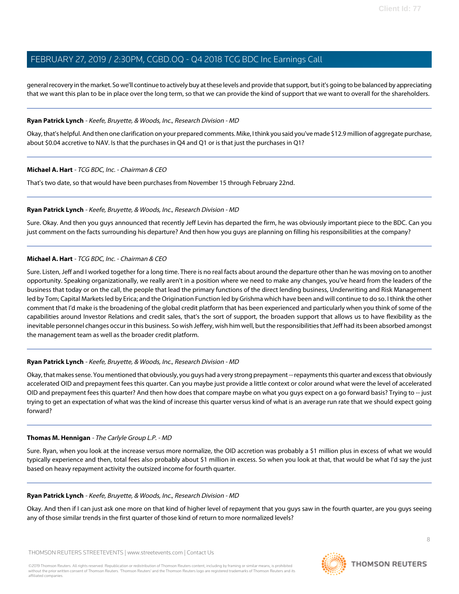general recovery in the market. So we'll continue to actively buy at these levels and provide that support, but it's going to be balanced by appreciating that we want this plan to be in place over the long term, so that we can provide the kind of support that we want to overall for the shareholders.

#### **Ryan Patrick Lynch** - Keefe, Bruyette, & Woods, Inc., Research Division - MD

Okay, that's helpful. And then one clarification on your prepared comments. Mike, I think you said you've made \$12.9 million of aggregate purchase, about \$0.04 accretive to NAV. Is that the purchases in Q4 and Q1 or is that just the purchases in Q1?

#### **Michael A. Hart** - TCG BDC, Inc. - Chairman & CEO

That's two date, so that would have been purchases from November 15 through February 22nd.

#### **Ryan Patrick Lynch** - Keefe, Bruyette, & Woods, Inc., Research Division - MD

Sure. Okay. And then you guys announced that recently Jeff Levin has departed the firm, he was obviously important piece to the BDC. Can you just comment on the facts surrounding his departure? And then how you guys are planning on filling his responsibilities at the company?

#### **Michael A. Hart** - TCG BDC, Inc. - Chairman & CEO

Sure. Listen, Jeff and I worked together for a long time. There is no real facts about around the departure other than he was moving on to another opportunity. Speaking organizationally, we really aren't in a position where we need to make any changes, you've heard from the leaders of the business that today or on the call, the people that lead the primary functions of the direct lending business, Underwriting and Risk Management led by Tom; Capital Markets led by Erica; and the Origination Function led by Grishma which have been and will continue to do so. I think the other comment that I'd make is the broadening of the global credit platform that has been experienced and particularly when you think of some of the capabilities around Investor Relations and credit sales, that's the sort of support, the broaden support that allows us to have flexibility as the inevitable personnel changes occur in this business. So wish Jeffery, wish him well, but the responsibilities that Jeff had its been absorbed amongst the management team as well as the broader credit platform.

#### **Ryan Patrick Lynch** - Keefe, Bruyette, & Woods, Inc., Research Division - MD

Okay, that makes sense. You mentioned that obviously, you guys had a very strong prepayment -- repayments this quarter and excess that obviously accelerated OID and prepayment fees this quarter. Can you maybe just provide a little context or color around what were the level of accelerated OID and prepayment fees this quarter? And then how does that compare maybe on what you guys expect on a go forward basis? Trying to -- just trying to get an expectation of what was the kind of increase this quarter versus kind of what is an average run rate that we should expect going forward?

#### **Thomas M. Hennigan** - The Carlyle Group L.P. - MD

Sure. Ryan, when you look at the increase versus more normalize, the OID accretion was probably a \$1 million plus in excess of what we would typically experience and then, total fees also probably about \$1 million in excess. So when you look at that, that would be what I'd say the just based on heavy repayment activity the outsized income for fourth quarter.

#### **Ryan Patrick Lynch** - Keefe, Bruyette, & Woods, Inc., Research Division - MD

Okay. And then if I can just ask one more on that kind of higher level of repayment that you guys saw in the fourth quarter, are you guys seeing any of those similar trends in the first quarter of those kind of return to more normalized levels?

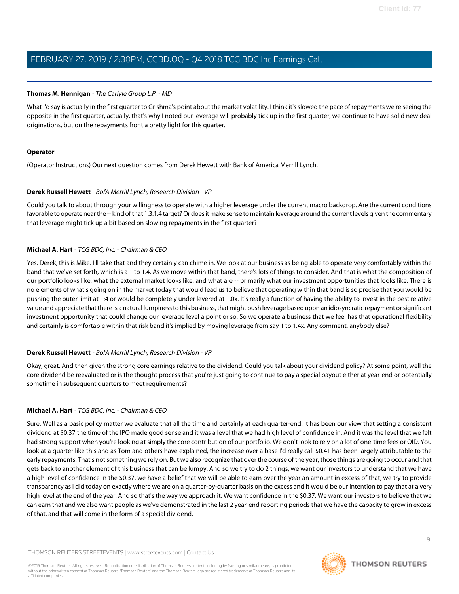#### **Thomas M. Hennigan** - The Carlyle Group L.P. - MD

What I'd say is actually in the first quarter to Grishma's point about the market volatility. I think it's slowed the pace of repayments we're seeing the opposite in the first quarter, actually, that's why I noted our leverage will probably tick up in the first quarter, we continue to have solid new deal originations, but on the repayments front a pretty light for this quarter.

#### **Operator**

(Operator Instructions) Our next question comes from Derek Hewett with Bank of America Merrill Lynch.

#### **Derek Russell Hewett** - BofA Merrill Lynch, Research Division - VP

Could you talk to about through your willingness to operate with a higher leverage under the current macro backdrop. Are the current conditions favorable to operate near the -- kind of that 1.3:1.4 target? Or does it make sense to maintain leverage around the current levels given the commentary that leverage might tick up a bit based on slowing repayments in the first quarter?

#### **Michael A. Hart** - TCG BDC, Inc. - Chairman & CEO

Yes. Derek, this is Mike. I'll take that and they certainly can chime in. We look at our business as being able to operate very comfortably within the band that we've set forth, which is a 1 to 1.4. As we move within that band, there's lots of things to consider. And that is what the composition of our portfolio looks like, what the external market looks like, and what are -- primarily what our investment opportunities that looks like. There is no elements of what's going on in the market today that would lead us to believe that operating within that band is so precise that you would be pushing the outer limit at 1:4 or would be completely under levered at 1.0x. It's really a function of having the ability to invest in the best relative value and appreciate that there is a natural lumpiness to this business, that might push leverage based upon an idiosyncratic repayment or significant investment opportunity that could change our leverage level a point or so. So we operate a business that we feel has that operational flexibility and certainly is comfortable within that risk band it's implied by moving leverage from say 1 to 1.4x. Any comment, anybody else?

#### **Derek Russell Hewett** - BofA Merrill Lynch, Research Division - VP

Okay, great. And then given the strong core earnings relative to the dividend. Could you talk about your dividend policy? At some point, well the core dividend be reevaluated or is the thought process that you're just going to continue to pay a special payout either at year-end or potentially sometime in subsequent quarters to meet requirements?

#### **Michael A. Hart** - TCG BDC, Inc. - Chairman & CEO

Sure. Well as a basic policy matter we evaluate that all the time and certainly at each quarter-end. It has been our view that setting a consistent dividend at \$0.37 the time of the IPO made good sense and it was a level that we had high level of confidence in. And it was the level that we felt had strong support when you're looking at simply the core contribution of our portfolio. We don't look to rely on a lot of one-time fees or OID. You look at a quarter like this and as Tom and others have explained, the increase over a base I'd really call \$0.41 has been largely attributable to the early repayments. That's not something we rely on. But we also recognize that over the course of the year, those things are going to occur and that gets back to another element of this business that can be lumpy. And so we try to do 2 things, we want our investors to understand that we have a high level of confidence in the \$0.37, we have a belief that we will be able to earn over the year an amount in excess of that, we try to provide transparency as I did today on exactly where we are on a quarter-by-quarter basis on the excess and it would be our intention to pay that at a very high level at the end of the year. And so that's the way we approach it. We want confidence in the \$0.37. We want our investors to believe that we can earn that and we also want people as we've demonstrated in the last 2 year-end reporting periods that we have the capacity to grow in excess of that, and that will come in the form of a special dividend.

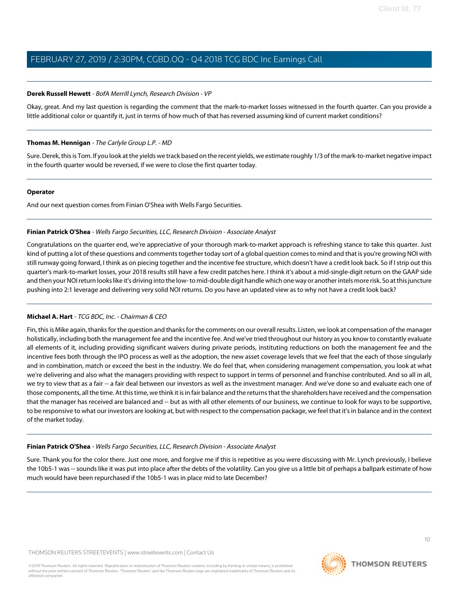#### **Derek Russell Hewett** - BofA Merrill Lynch, Research Division - VP

Okay, great. And my last question is regarding the comment that the mark-to-market losses witnessed in the fourth quarter. Can you provide a little additional color or quantify it, just in terms of how much of that has reversed assuming kind of current market conditions?

#### **Thomas M. Hennigan** - The Carlyle Group L.P. - MD

Sure. Derek, this is Tom. If you look at the yields we track based on the recent yields, we estimate roughly 1/3 of the mark-to-market negative impact in the fourth quarter would be reversed, if we were to close the first quarter today.

#### **Operator**

And our next question comes from Finian O'Shea with Wells Fargo Securities.

## **Finian Patrick O'Shea** - Wells Fargo Securities, LLC, Research Division - Associate Analyst

Congratulations on the quarter end, we're appreciative of your thorough mark-to-market approach is refreshing stance to take this quarter. Just kind of putting a lot of these questions and comments together today sort of a global question comes to mind and that is you're growing NOI with still runway going forward, I think as on piecing together and the incentive fee structure, which doesn't have a credit look back. So if I strip out this quarter's mark-to-market losses, your 2018 results still have a few credit patches here. I think it's about a mid-single-digit return on the GAAP side and then your NOI return looks like it's driving into the low- to mid-double digit handle which one way or another intels more risk. So at this juncture pushing into 2:1 leverage and delivering very solid NOI returns. Do you have an updated view as to why not have a credit look back?

## **Michael A. Hart** - TCG BDC, Inc. - Chairman & CEO

Fin, this is Mike again, thanks for the question and thanks for the comments on our overall results. Listen, we look at compensation of the manager holistically, including both the management fee and the incentive fee. And we've tried throughout our history as you know to constantly evaluate all elements of it, including providing significant waivers during private periods, instituting reductions on both the management fee and the incentive fees both through the IPO process as well as the adoption, the new asset coverage levels that we feel that the each of those singularly and in combination, match or exceed the best in the industry. We do feel that, when considering management compensation, you look at what we're delivering and also what the managers providing with respect to support in terms of personnel and franchise contributed. And so all in all, we try to view that as a fair -- a fair deal between our investors as well as the investment manager. And we've done so and evaluate each one of those components, all the time. At this time, we think it is in fair balance and the returns that the shareholders have received and the compensation that the manager has received are balanced and -- but as with all other elements of our business, we continue to look for ways to be supportive, to be responsive to what our investors are looking at, but with respect to the compensation package, we feel that it's in balance and in the context of the market today.

#### **Finian Patrick O'Shea** - Wells Fargo Securities, LLC, Research Division - Associate Analyst

Sure. Thank you for the color there. Just one more, and forgive me if this is repetitive as you were discussing with Mr. Lynch previously, I believe the 10b5-1 was -- sounds like it was put into place after the debts of the volatility. Can you give us a little bit of perhaps a ballpark estimate of how much would have been repurchased if the 10b5-1 was in place mid to late December?